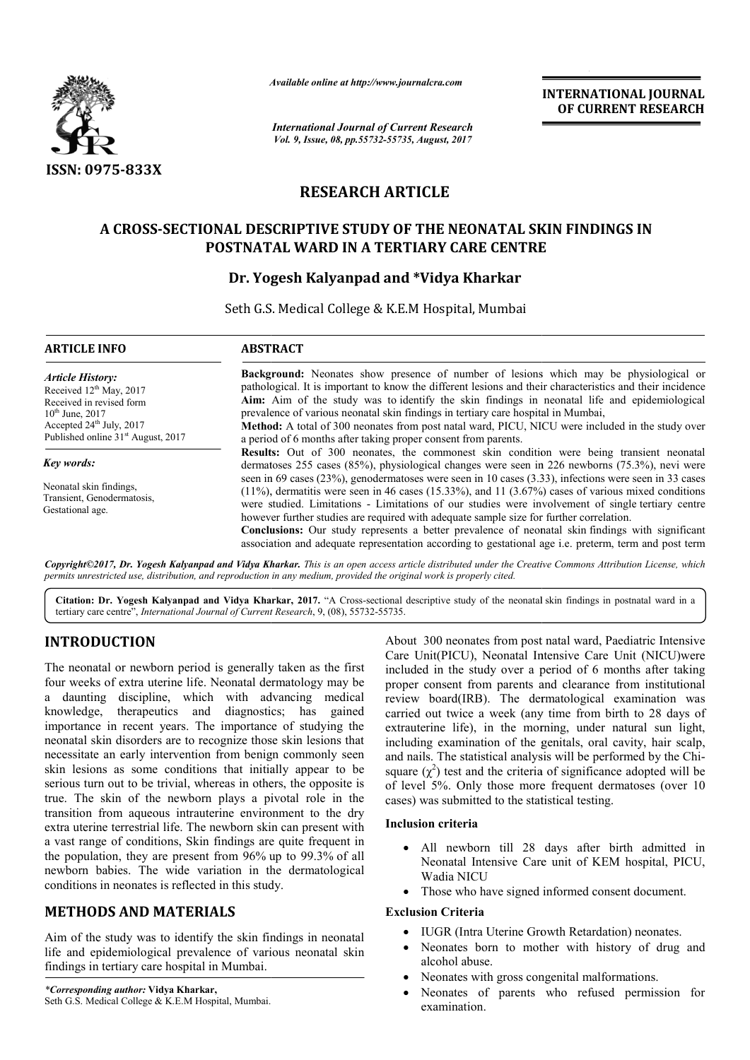

*Available online at http://www.journal http://www.journalcra.com*

# **RESEARCH ARTICLE**

## **A CROSS-SECTIONAL DESCRIPTIVE STUDY OF THE NEONATAL SECTIONAL SKIN FINDINGS IN POSTNATAL WARD IN A TERTIARY CARE CENTRE CENTRE**

### **Dr. Yogesh Kalyanpad and \*Vidya Kharkar**

|                                                                                                                                                                                                                                                                                                                                                                                                                                                                                                                                                                                                                                                                                                                                                                                                                                                                                                                                                                                                                                                 | лтините опине интир.//www.journuicru.com<br><b>International Journal of Current Research</b><br>Vol. 9, Issue, 08, pp.55732-55735, August, 2017                                                                                                                                                                                                                                                                                                                                                                                                                                                                                  | <b>INTERNATIONAL JOURNAL</b><br>OF CURRENT RESEARCH                                                                                                                                                                                                                                                                                                                                                                                                                                                                                                                                                                                                                                                                                               |                                                                                                                                                                                                          |  |  |
|-------------------------------------------------------------------------------------------------------------------------------------------------------------------------------------------------------------------------------------------------------------------------------------------------------------------------------------------------------------------------------------------------------------------------------------------------------------------------------------------------------------------------------------------------------------------------------------------------------------------------------------------------------------------------------------------------------------------------------------------------------------------------------------------------------------------------------------------------------------------------------------------------------------------------------------------------------------------------------------------------------------------------------------------------|----------------------------------------------------------------------------------------------------------------------------------------------------------------------------------------------------------------------------------------------------------------------------------------------------------------------------------------------------------------------------------------------------------------------------------------------------------------------------------------------------------------------------------------------------------------------------------------------------------------------------------|---------------------------------------------------------------------------------------------------------------------------------------------------------------------------------------------------------------------------------------------------------------------------------------------------------------------------------------------------------------------------------------------------------------------------------------------------------------------------------------------------------------------------------------------------------------------------------------------------------------------------------------------------------------------------------------------------------------------------------------------------|----------------------------------------------------------------------------------------------------------------------------------------------------------------------------------------------------------|--|--|
| <b>ISSN: 0975-833X</b>                                                                                                                                                                                                                                                                                                                                                                                                                                                                                                                                                                                                                                                                                                                                                                                                                                                                                                                                                                                                                          |                                                                                                                                                                                                                                                                                                                                                                                                                                                                                                                                                                                                                                  |                                                                                                                                                                                                                                                                                                                                                                                                                                                                                                                                                                                                                                                                                                                                                   |                                                                                                                                                                                                          |  |  |
|                                                                                                                                                                                                                                                                                                                                                                                                                                                                                                                                                                                                                                                                                                                                                                                                                                                                                                                                                                                                                                                 | <b>RESEARCH ARTICLE</b>                                                                                                                                                                                                                                                                                                                                                                                                                                                                                                                                                                                                          |                                                                                                                                                                                                                                                                                                                                                                                                                                                                                                                                                                                                                                                                                                                                                   |                                                                                                                                                                                                          |  |  |
|                                                                                                                                                                                                                                                                                                                                                                                                                                                                                                                                                                                                                                                                                                                                                                                                                                                                                                                                                                                                                                                 |                                                                                                                                                                                                                                                                                                                                                                                                                                                                                                                                                                                                                                  |                                                                                                                                                                                                                                                                                                                                                                                                                                                                                                                                                                                                                                                                                                                                                   |                                                                                                                                                                                                          |  |  |
|                                                                                                                                                                                                                                                                                                                                                                                                                                                                                                                                                                                                                                                                                                                                                                                                                                                                                                                                                                                                                                                 | A CROSS-SECTIONAL DESCRIPTIVE STUDY OF THE NEONATAL SKIN FINDINGS IN<br>POSTNATAL WARD IN A TERTIARY CARE CENTRE<br>Dr. Yogesh Kalyanpad and *Vidya Kharkar                                                                                                                                                                                                                                                                                                                                                                                                                                                                      |                                                                                                                                                                                                                                                                                                                                                                                                                                                                                                                                                                                                                                                                                                                                                   |                                                                                                                                                                                                          |  |  |
|                                                                                                                                                                                                                                                                                                                                                                                                                                                                                                                                                                                                                                                                                                                                                                                                                                                                                                                                                                                                                                                 |                                                                                                                                                                                                                                                                                                                                                                                                                                                                                                                                                                                                                                  | Seth G.S. Medical College & K.E.M Hospital, Mumbai                                                                                                                                                                                                                                                                                                                                                                                                                                                                                                                                                                                                                                                                                                |                                                                                                                                                                                                          |  |  |
| <b>ARTICLE INFO</b>                                                                                                                                                                                                                                                                                                                                                                                                                                                                                                                                                                                                                                                                                                                                                                                                                                                                                                                                                                                                                             | <b>ABSTRACT</b>                                                                                                                                                                                                                                                                                                                                                                                                                                                                                                                                                                                                                  |                                                                                                                                                                                                                                                                                                                                                                                                                                                                                                                                                                                                                                                                                                                                                   |                                                                                                                                                                                                          |  |  |
| <b>Article History:</b><br>Received 12 <sup>th</sup> May, 2017<br>Received in revised form<br>$10^{th}$ June, 2017<br>Accepted 24 <sup>th</sup> July, 2017<br>Published online 31 <sup>st</sup> August, 2017                                                                                                                                                                                                                                                                                                                                                                                                                                                                                                                                                                                                                                                                                                                                                                                                                                    | Background: Neonates show presence of number of lesions which may be physiological or<br>pathological. It is important to know the different lesions and their characteristics and their incidence<br>Aim: Aim of the study was to identify the skin findings in neonatal life and epidemiological<br>prevalence of various neonatal skin findings in tertiary care hospital in Mumbai,<br>Method: A total of 300 neonates from post natal ward, PICU, NICU were included in the study over<br>a period of 6 months after taking proper consent from parents.                                                                    |                                                                                                                                                                                                                                                                                                                                                                                                                                                                                                                                                                                                                                                                                                                                                   |                                                                                                                                                                                                          |  |  |
| Key words:                                                                                                                                                                                                                                                                                                                                                                                                                                                                                                                                                                                                                                                                                                                                                                                                                                                                                                                                                                                                                                      |                                                                                                                                                                                                                                                                                                                                                                                                                                                                                                                                                                                                                                  |                                                                                                                                                                                                                                                                                                                                                                                                                                                                                                                                                                                                                                                                                                                                                   | Results: Out of 300 neonates, the commonest skin condition were being transient neonatal<br>dermatoses 255 cases (85%), physiological changes were seen in 226 newborns (75.3%), nevi were               |  |  |
| Neonatal skin findings,<br>Transient, Genodermatosis,<br>Gestational age.                                                                                                                                                                                                                                                                                                                                                                                                                                                                                                                                                                                                                                                                                                                                                                                                                                                                                                                                                                       | seen in 69 cases (23%), genodermatoses were seen in 10 cases (3.33), infections were seen in 33 cases<br>$(11%)$ , dermatitis were seen in 46 cases $(15.33%)$ , and 11 $(3.67%)$ cases of various mixed conditions<br>were studied. Limitations - Limitations of our studies were involvement of single tertiary centre<br>however further studies are required with adequate sample size for further correlation.<br>Conclusions: Our study represents a better prevalence of neonatal skin findings with significant<br>association and adequate representation according to gestational age i.e. preterm, term and post term |                                                                                                                                                                                                                                                                                                                                                                                                                                                                                                                                                                                                                                                                                                                                                   |                                                                                                                                                                                                          |  |  |
| permits unrestricted use, distribution, and reproduction in any medium, provided the original work is properly cited.                                                                                                                                                                                                                                                                                                                                                                                                                                                                                                                                                                                                                                                                                                                                                                                                                                                                                                                           |                                                                                                                                                                                                                                                                                                                                                                                                                                                                                                                                                                                                                                  |                                                                                                                                                                                                                                                                                                                                                                                                                                                                                                                                                                                                                                                                                                                                                   | Copyright©2017, Dr. Yogesh Kalyanpad and Vidya Kharkar. This is an open access article distributed under the Creative Commons Attribution License, which                                                 |  |  |
| tertiary care centre", International Journal of Current Research, 9, (08), 55732-55735.                                                                                                                                                                                                                                                                                                                                                                                                                                                                                                                                                                                                                                                                                                                                                                                                                                                                                                                                                         |                                                                                                                                                                                                                                                                                                                                                                                                                                                                                                                                                                                                                                  |                                                                                                                                                                                                                                                                                                                                                                                                                                                                                                                                                                                                                                                                                                                                                   | Citation: Dr. Yogesh Kalyanpad and Vidya Kharkar, 2017. "A Cross-sectional descriptive study of the neonatal skin findings in postnatal ward in a                                                        |  |  |
| <b>INTRODUCTION</b>                                                                                                                                                                                                                                                                                                                                                                                                                                                                                                                                                                                                                                                                                                                                                                                                                                                                                                                                                                                                                             |                                                                                                                                                                                                                                                                                                                                                                                                                                                                                                                                                                                                                                  |                                                                                                                                                                                                                                                                                                                                                                                                                                                                                                                                                                                                                                                                                                                                                   | About 300 neonates from post natal ward, Paediatric Intensive                                                                                                                                            |  |  |
| The neonatal or newborn period is generally taken as the first<br>four weeks of extra uterine life. Neonatal dermatology may be<br>a daunting discipline, which with advancing medical<br>therapeutics and<br>diagnostics; has gained<br>knowledge,<br>importance in recent years. The importance of studying the<br>neonatal skin disorders are to recognize those skin lesions that<br>necessitate an early intervention from benign commonly seen<br>skin lesions as some conditions that initially appear to be<br>serious turn out to be trivial, whereas in others, the opposite is<br>true. The skin of the newborn plays a pivotal role in the<br>transition from aqueous intrauterine environment to the dry<br>extra uterine terrestrial life. The newborn skin can present with<br>a vast range of conditions, Skin findings are quite frequent in<br>the population, they are present from 96% up to 99.3% of all<br>newborn babies. The wide variation in the dermatological<br>conditions in neonates is reflected in this study. |                                                                                                                                                                                                                                                                                                                                                                                                                                                                                                                                                                                                                                  | Care Unit(PICU), Neonatal Intensive Care Unit (NICU)were<br>included in the study over a period of 6 months after taking<br>proper consent from parents and clearance from institutional<br>review board(IRB). The dermatological examination was<br>carried out twice a week (any time from birth to 28 days of<br>extrauterine life), in the morning, under natural sun light,<br>including examination of the genitals, oral cavity, hair scalp,<br>and nails. The statistical analysis will be performed by the Chi-<br>square $(\chi^2)$ test and the criteria of significance adopted will be<br>of level 5%. Only those more frequent dermatoses (over 10<br>cases) was submitted to the statistical testing.<br><b>Inclusion criteria</b> |                                                                                                                                                                                                          |  |  |
|                                                                                                                                                                                                                                                                                                                                                                                                                                                                                                                                                                                                                                                                                                                                                                                                                                                                                                                                                                                                                                                 |                                                                                                                                                                                                                                                                                                                                                                                                                                                                                                                                                                                                                                  | Wadia NICU<br>$\bullet$                                                                                                                                                                                                                                                                                                                                                                                                                                                                                                                                                                                                                                                                                                                           | All newborn till 28 days after birth admitted in<br>Neonatal Intensive Care unit of KEM hospital, PICU,<br>Those who have signed informed consent document.                                              |  |  |
| <b>METHODS AND MATERIALS</b>                                                                                                                                                                                                                                                                                                                                                                                                                                                                                                                                                                                                                                                                                                                                                                                                                                                                                                                                                                                                                    |                                                                                                                                                                                                                                                                                                                                                                                                                                                                                                                                                                                                                                  | <b>Exclusion Criteria</b>                                                                                                                                                                                                                                                                                                                                                                                                                                                                                                                                                                                                                                                                                                                         |                                                                                                                                                                                                          |  |  |
| Aim of the study was to identify the skin findings in neonatal<br>life and epidemiological prevalence of various neonatal skin<br>findings in tertiary care hospital in Mumbai.<br>*Corresponding author: Vidya Kharkar,                                                                                                                                                                                                                                                                                                                                                                                                                                                                                                                                                                                                                                                                                                                                                                                                                        |                                                                                                                                                                                                                                                                                                                                                                                                                                                                                                                                                                                                                                  | alcohol abuse.                                                                                                                                                                                                                                                                                                                                                                                                                                                                                                                                                                                                                                                                                                                                    | IUGR (Intra Uterine Growth Retardation) neonates.<br>Neonates born to mother with history of drug and<br>Neonates with gross congenital malformations.<br>Neonates of parents who refused permission for |  |  |

## **INTRODUCTION**

### **METHODS AND MATERIALS**

### **Inclusion criteria**

- All newborn till 28 days after birth admitted in Neonatal Intensive Care unit of KEM hospital, PICU, Wadia NICU  $(\chi^2)$  test and the criteria of significance adopted will be<br>el 5%. Only those more frequent dermatoses (over 10<br>was submitted to the statistical testing.<br>**On criteria**<br>All newborn till 28 days after birth admitted in<br>Ne
- Those who have signed informed consent document.

### **Exclusion Criteria**

- IUGR (Intra Uterine Growth Retardation) neonates.
- Neonates born to mother with history of drug and alcohol abuse.
- Neonates with gross congenital malformations.
- Neonates of parents who refused permission for examination.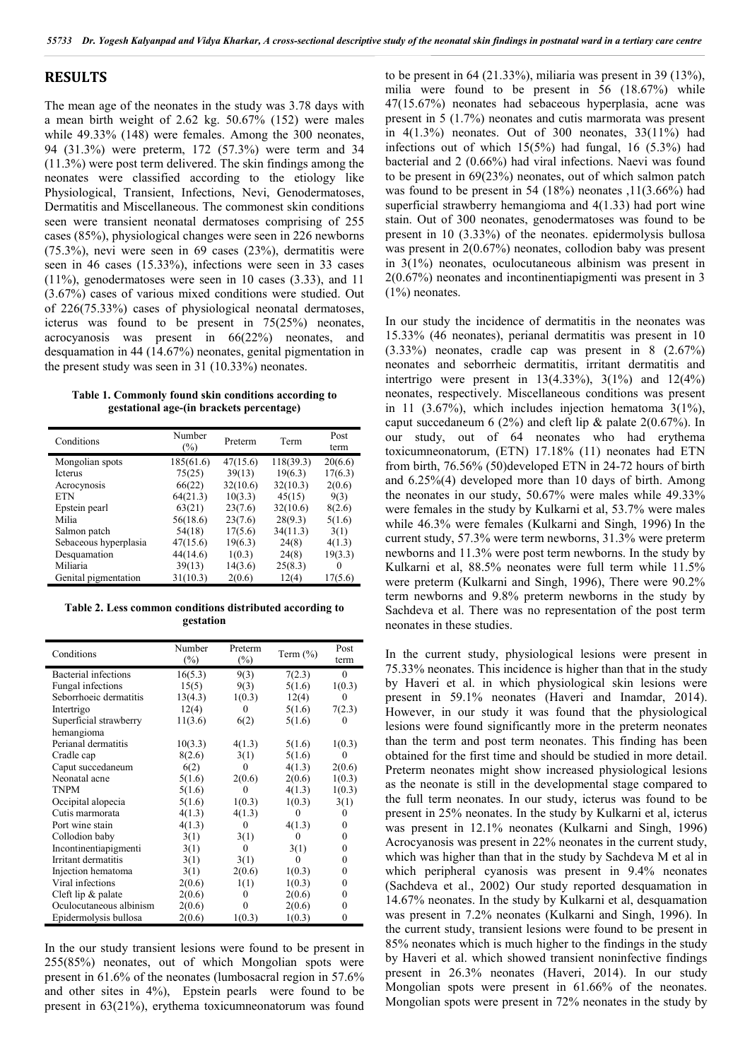#### **RESULTS**

The mean age of the neonates in the study was 3.78 days with a mean birth weight of 2.62 kg. 50.67% (152) were males while 49.33% (148) were females. Among the 300 neonates, 94 (31.3%) were preterm, 172 (57.3%) were term and 34 (11.3%) were post term delivered. The skin findings among the neonates were classified according to the etiology like Physiological, Transient, Infections, Nevi, Genodermatoses, Dermatitis and Miscellaneous. The commonest skin conditions seen were transient neonatal dermatoses comprising of 255 cases (85%), physiological changes were seen in 226 newborns (75.3%), nevi were seen in 69 cases (23%), dermatitis were seen in 46 cases (15.33%), infections were seen in 33 cases (11%), genodermatoses were seen in 10 cases (3.33), and 11 (3.67%) cases of various mixed conditions were studied. Out of 226(75.33%) cases of physiological neonatal dermatoses, icterus was found to be present in 75(25%) neonates, acrocyanosis was present in 66(22%) neonates, and desquamation in 44 (14.67%) neonates, genital pigmentation in the present study was seen in 31 (10.33%) neonates.

**Table 1. Commonly found skin conditions according to gestational age-(in brackets percentage)**

| Conditions            | Number<br>$(\%)$ | Preterm  | Term      | Post<br>term |
|-----------------------|------------------|----------|-----------|--------------|
| Mongolian spots       | 185(61.6)        | 47(15.6) | 118(39.3) | 20(6.6)      |
| <b>Icterus</b>        | 75(25)           | 39(13)   | 19(6.3)   | 17(6.3)      |
| Acrocynosis           | 66(22)           | 32(10.6) | 32(10.3)  | 2(0.6)       |
| <b>ETN</b>            | 64(21.3)         | 10(3.3)  | 45(15)    | 9(3)         |
| Epstein pearl         | 63(21)           | 23(7.6)  | 32(10.6)  | 8(2.6)       |
| Milia                 | 56(18.6)         | 23(7.6)  | 28(9.3)   | 5(1.6)       |
| Salmon patch          | 54(18)           | 17(5.6)  | 34(11.3)  | 3(1)         |
| Sebaceous hyperplasia | 47(15.6)         | 19(6.3)  | 24(8)     | 4(1.3)       |
| Desquamation          | 44(14.6)         | 1(0.3)   | 24(8)     | 19(3.3)      |
| Miliaria              | 39(13)           | 14(3.6)  | 25(8.3)   | 0            |
| Genital pigmentation  | 31(10.3)         | 2(0.6)   | 12(4)     | 17(5.6)      |

**Table 2. Less common conditions distributed according to gestation**

| Conditions                  | Number<br>$(\%)$ | Preterm<br>$(\%)$ | Term $(\% )$ | Post<br>term     |
|-----------------------------|------------------|-------------------|--------------|------------------|
| <b>Bacterial</b> infections | 16(5.3)          | 9(3)              | 7(2.3)       | $\mathbf{0}$     |
| Fungal infections           | 15(5)            | 9(3)              | 5(1.6)       | 1(0.3)           |
| Seborrhoeic dermatitis      | 13(4.3)          | 1(0.3)            | 12(4)        | 0                |
| Intertrigo                  | 12(4)            | $\mathbf{0}$      | 5(1.6)       | 7(2.3)           |
| Superficial strawberry      | 11(3.6)          | 6(2)              | 5(1.6)       | 0                |
| hemangioma                  |                  |                   |              |                  |
| Perianal dermatitis         | 10(3.3)          | 4(1.3)            | 5(1.6)       | 1(0.3)           |
| Cradle cap                  | 8(2.6)           | 3(1)              | 5(1.6)       | $\theta$         |
| Caput succedaneum           | 6(2)             | 0                 | 4(1.3)       | 2(0.6)           |
| Neonatal acne               | 5(1.6)           | 2(0.6)            | 2(0.6)       | 1(0.3)           |
| <b>TNPM</b>                 | 5(1.6)           | $\theta$          | 4(1.3)       | 1(0.3)           |
| Occipital alopecia          | 5(1.6)           | 1(0.3)            | 1(0.3)       | 3(1)             |
| Cutis marmorata             | 4(1.3)           | 4(1.3)            | 0            | $\theta$         |
| Port wine stain             | 4(1.3)           | $\Omega$          | 4(1.3)       | 0                |
| Collodion baby              | 3(1)             | 3(1)              | $\theta$     | $\boldsymbol{0}$ |
| Incontinentiapigmenti       | 3(1)             | $\Omega$          | 3(1)         | 0                |
| Irritant dermatitis         | 3(1)             | 3(1)              |              | $\boldsymbol{0}$ |
| Injection hematoma          | 3(1)             | 2(0.6)            | 1(0.3)       | 0                |
| Viral infections            | 2(0.6)           | 1(1)              | 1(0.3)       | $\boldsymbol{0}$ |
| Cleft lip $&$ palate        | 2(0.6)           | 0                 | 2(0.6)       | 0                |
| Oculocutaneous albinism     | 2(0.6)           |                   | 2(0.6)       | $\boldsymbol{0}$ |
| Epidermolysis bullosa       | 2(0.6)           | 1(0.3)            | 1(0.3)       | $\mathbf{0}$     |

In the our study transient lesions were found to be present in 255(85%) neonates, out of which Mongolian spots were present in 61.6% of the neonates (lumbosacral region in 57.6% and other sites in 4%), Epstein pearls were found to be present in 63(21%), erythema toxicumneonatorum was found to be present in 64 (21.33%), miliaria was present in 39 (13%), milia were found to be present in 56 (18.67%) while 47(15.67%) neonates had sebaceous hyperplasia, acne was present in 5 (1.7%) neonates and cutis marmorata was present in  $4(1.3\%)$  neonates. Out of 300 neonates,  $33(11\%)$  had infections out of which 15(5%) had fungal, 16 (5.3%) had bacterial and 2 (0.66%) had viral infections. Naevi was found to be present in 69(23%) neonates, out of which salmon patch was found to be present in 54 (18%) neonates ,11(3.66%) had superficial strawberry hemangioma and 4(1.33) had port wine stain. Out of 300 neonates, genodermatoses was found to be present in 10 (3.33%) of the neonates. epidermolysis bullosa was present in 2(0.67%) neonates, collodion baby was present in 3(1%) neonates, oculocutaneous albinism was present in 2(0.67%) neonates and incontinentiapigmenti was present in 3 (1%) neonates.

In our study the incidence of dermatitis in the neonates was 15.33% (46 neonates), perianal dermatitis was present in 10 (3.33%) neonates, cradle cap was present in 8 (2.67%) neonates and seborrheic dermatitis, irritant dermatitis and intertrigo were present in  $13(4.33\%)$ ,  $3(1\%)$  and  $12(4\%)$ neonates, respectively. Miscellaneous conditions was present in 11 (3.67%), which includes injection hematoma  $3(1\%)$ , caput succedaneum 6 (2%) and cleft lip & palate 2(0.67%). In our study, out of 64 neonates who had erythema toxicumneonatorum, (ETN) 17.18% (11) neonates had ETN from birth, 76.56% (50)developed ETN in 24-72 hours of birth and 6.25%(4) developed more than 10 days of birth. Among the neonates in our study, 50.67% were males while 49.33% were females in the study by Kulkarni et al, 53.7% were males while 46.3% were females (Kulkarni and Singh, 1996) In the current study, 57.3% were term newborns, 31.3% were preterm newborns and 11.3% were post term newborns. In the study by Kulkarni et al, 88.5% neonates were full term while 11.5% were preterm (Kulkarni and Singh, 1996), There were 90.2% term newborns and 9.8% preterm newborns in the study by Sachdeva et al. There was no representation of the post term neonates in these studies.

In the current study, physiological lesions were present in 75.33% neonates. This incidence is higher than that in the study by Haveri et al. in which physiological skin lesions were present in 59.1% neonates (Haveri and Inamdar, 2014). However, in our study it was found that the physiological lesions were found significantly more in the preterm neonates than the term and post term neonates. This finding has been obtained for the first time and should be studied in more detail. Preterm neonates might show increased physiological lesions as the neonate is still in the developmental stage compared to the full term neonates. In our study, icterus was found to be present in 25% neonates. In the study by Kulkarni et al, icterus was present in 12.1% neonates (Kulkarni and Singh, 1996) Acrocyanosis was present in 22% neonates in the current study, which was higher than that in the study by Sachdeva M et al in which peripheral cyanosis was present in 9.4% neonates (Sachdeva et al., 2002) Our study reported desquamation in 14.67% neonates. In the study by Kulkarni et al, desquamation was present in 7.2% neonates (Kulkarni and Singh, 1996). In the current study, transient lesions were found to be present in 85% neonates which is much higher to the findings in the study by Haveri et al. which showed transient noninfective findings present in 26.3% neonates (Haveri, 2014). In our study Mongolian spots were present in 61.66% of the neonates. Mongolian spots were present in 72% neonates in the study by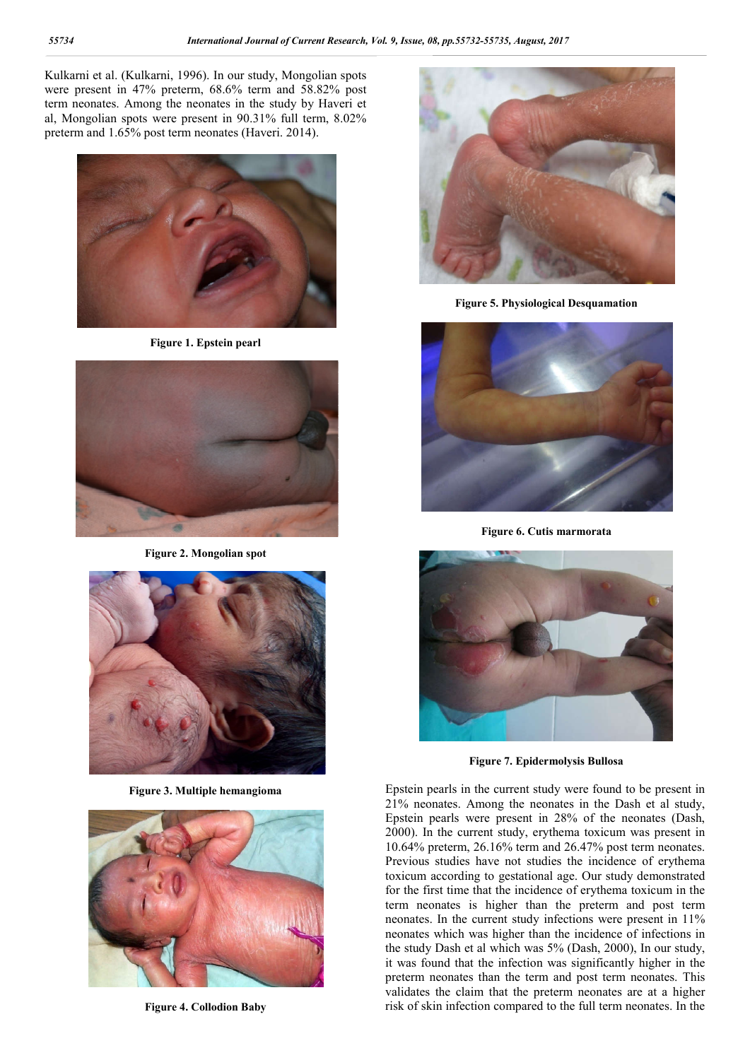Kulkarni et al. (Kulkarni, 1996). In our study, Mongolian spots were present in 47% preterm, 68.6% term and 58.82% post term neonates. Among the neonates in the study by Haveri et al, Mongolian spots were present in 90.31% full term, 8.02% preterm and 1.65% post term neonates (Haveri. 2014).



**Figure 1. Epstein pearl**



**Figure 2. Mongolian spot**



**Figure 3. Multiple hemangioma**



**Figure 4. Collodion Baby**



**Figure 5. Physiological Desquamation**



**Figure 6. Cutis marmorata**



**Figure 7. Epidermolysis Bullosa**

Epstein pearls in the current study were found to be present in 21% neonates. Among the neonates in the Dash et al study, Epstein pearls were present in 28% of the neonates (Dash, 2000). In the current study, erythema toxicum was present in 10.64% preterm, 26.16% term and 26.47% post term neonates. Previous studies have not studies the incidence of erythema toxicum according to gestational age. Our study demonstrated for the first time that the incidence of erythema toxicum in the term neonates is higher than the preterm and post term neonates. In the current study infections were present in 11% neonates which was higher than the incidence of infections in the study Dash et al which was 5% (Dash, 2000), In our study, it was found that the infection was significantly higher in the preterm neonates than the term and post term neonates. This validates the claim that the preterm neonates are at a higher risk of skin infection compared to the full term neonates. In the